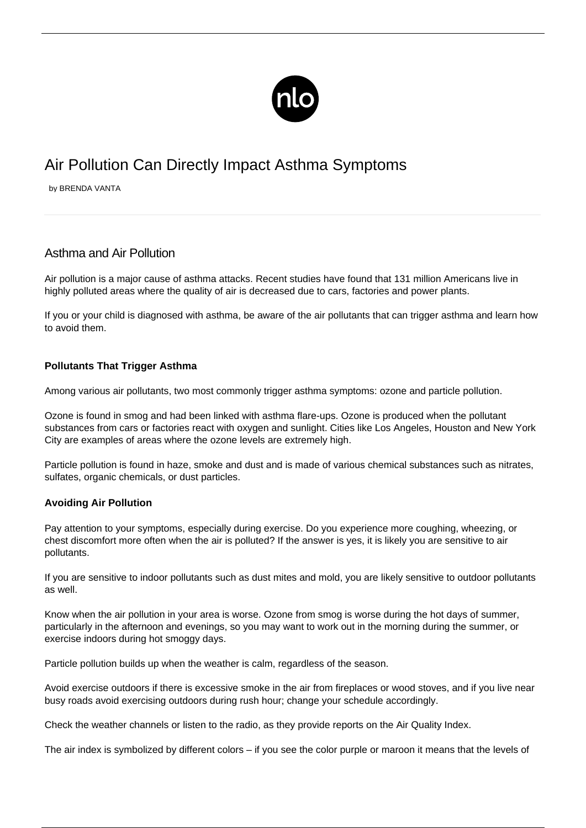

## Air Pollution Can Directly Impact Asthma Symptoms

by BRENDA VANTA

## Asthma and Air Pollution

Air pollution is a major cause of asthma attacks. Recent studies have found that 131 million Americans live in highly polluted areas where the quality of air is decreased due to cars, factories and power plants.

If you or your child is diagnosed with asthma, be aware of the air pollutants that can [trigger asthma](/asthma-triggers/) and learn how to avoid them.

## **Pollutants That Trigger Asthma**

Among various air pollutants, two most commonly trigger asthma symptoms: ozone and particle pollution.

Ozone is found in smog and had been linked with asthma flare-ups. Ozone is produced when the pollutant substances from cars or factories react with oxygen and sunlight. Cities like Los Angeles, Houston and New York City are examples of areas where the ozone levels are extremely high.

Particle pollution is found in haze, smoke and dust and is made of various chemical substances such as nitrates, sulfates, organic chemicals, or dust particles.

## **Avoiding Air Pollution**

Pay attention to your symptoms, especially during exercise. Do you experience more coughing, wheezing, or chest discomfort more often when the air is polluted? If the answer is yes, it is likely you are sensitive to air pollutants.

If you are sensitive to indoor pollutants such as dust mites and mold, you are likely sensitive to outdoor pollutants as well.

Know when the air pollution in your area is worse. Ozone from smog is worse during the hot days of summer, particularly in the afternoon and evenings, so you may want to work out in the morning during the summer, or exercise indoors during hot smoggy days.

Particle pollution builds up when the weather is calm, regardless of the season.

Avoid exercise outdoors if there is excessive smoke in the air from fireplaces or wood stoves, and if you live near busy roads avoid exercising outdoors during rush hour; change your schedule accordingly.

Check the weather channels or listen to the radio, as they provide reports on the Air Quality Index.

The air index is symbolized by different colors – if you see the color purple or maroon it means that the levels of